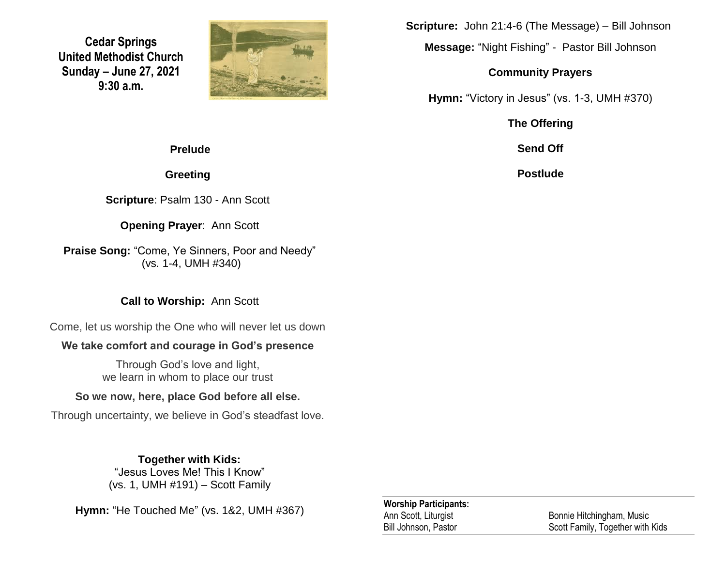**Cedar Springs United Methodist Church Sunday – June 27, 2021 9:30 a.m.**



**Scripture:** John 21:4-6 (The Message) – Bill Johnson

**Message:** "Night Fishing" - Pastor Bill Johnson

#### **Community Prayers**

**Hymn:** "Victory in Jesus" (vs. 1-3, UMH #370)

**The Offering**

**Send Off**

**Postlude**

### **Prelude**

**Greeting**

**Scripture**: Psalm 130 - Ann Scott

### **Opening Prayer**: Ann Scott

**Praise Song:** "Come, Ye Sinners, Poor and Needy" (vs. 1-4, UMH #340)

## **Call to Worship:** Ann Scott

Come, let us worship the One who will never let us down

## **We take comfort and courage in God's presence**

Through God's love and light, we learn in whom to place our trust

## **So we now, here, place God before all else.**

Through uncertainty, we believe in God's steadfast love.

## **Together with Kids:**

"Jesus Loves Me! This I Know" (vs. 1, UMH #191) – Scott Family

**Hymn:** "He Touched Me" (vs. 1&2, UMH #367)

### **Worship Participants:**

Ann Scott, Liturgist **Bonnie Hitchingham, Music** Bill Johnson, Pastor Scott Family, Together with Kids